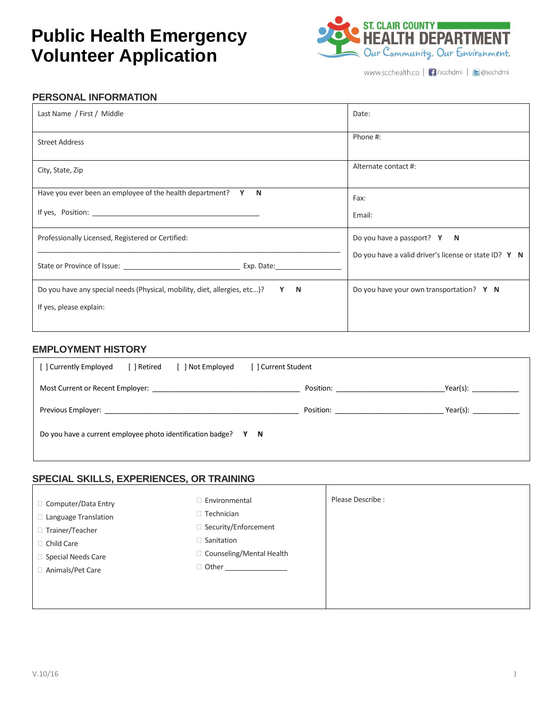# **Public Health Emergency Volunteer Application**



www.scchealth.co | | /scchdmi | | | @scchdmi

## **PERSONAL INFORMATION**

| Last Name / First / Middle                                                                                                                                                                                                     | Date:                                                 |
|--------------------------------------------------------------------------------------------------------------------------------------------------------------------------------------------------------------------------------|-------------------------------------------------------|
| <b>Street Address</b>                                                                                                                                                                                                          | Phone #:                                              |
| City, State, Zip                                                                                                                                                                                                               | Alternate contact #:                                  |
| Have you ever been an employee of the health department? $Y \cdot N$                                                                                                                                                           | Fax:                                                  |
| If yes, Position: the contract of the contract of the contract of the contract of the contract of the contract of the contract of the contract of the contract of the contract of the contract of the contract of the contract | Email:                                                |
| Professionally Licensed, Registered or Certified:                                                                                                                                                                              | Do you have a passport? Y N                           |
|                                                                                                                                                                                                                                | Do you have a valid driver's license or state ID? Y N |
| Do you have any special needs (Physical, mobility, diet, allergies, etc)? Y N                                                                                                                                                  | Do you have your own transportation? Y N              |
| If yes, please explain:                                                                                                                                                                                                        |                                                       |
|                                                                                                                                                                                                                                |                                                       |

### **EMPLOYMENT HISTORY**

| [ ] Retired<br>Mot Employed<br>[ ] Currently Employed                                                                                                                                                                          | [ ] Current Student                                                                                                                                                                                                           |             |
|--------------------------------------------------------------------------------------------------------------------------------------------------------------------------------------------------------------------------------|-------------------------------------------------------------------------------------------------------------------------------------------------------------------------------------------------------------------------------|-------------|
| Most Current or Recent Employer: Note that the control of the control of the control of the control of the control of the control of the control of the control of the control of the control of the control of the control of |                                                                                                                                                                                                                               | $Year(s)$ : |
|                                                                                                                                                                                                                                | Position: The contract of the contract of the contract of the contract of the contract of the contract of the contract of the contract of the contract of the contract of the contract of the contract of the contract of the | $Year(s)$ : |
| Do you have a current employee photo identification badge? Y N                                                                                                                                                                 |                                                                                                                                                                                                                               |             |

### **SPECIAL SKILLS, EXPERIENCES, OR TRAINING**

| □ Computer/Data Entry<br>□ Language Translation | $\Box$ Environmental<br>□ Technician | Please Describe: |
|-------------------------------------------------|--------------------------------------|------------------|
| □ Trainer/Teacher                               | □ Security/Enforcement               |                  |
| □ Child Care                                    | $\Box$ Sanitation                    |                  |
| $\Box$ Special Needs Care                       | □ Counseling/Mental Health           |                  |
| □ Animals/Pet Care                              | □ Other                              |                  |
|                                                 |                                      |                  |
|                                                 |                                      |                  |
|                                                 |                                      |                  |